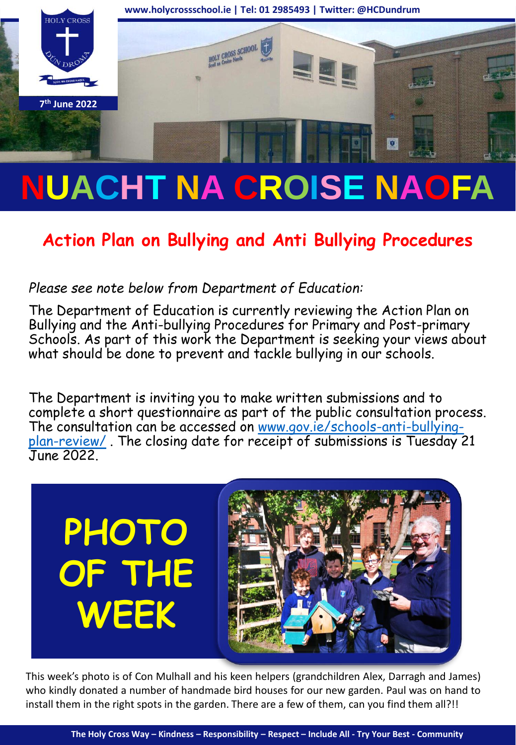

# **NUACHT NA CROISE NAOFA**

## **Action Plan on Bullying and Anti Bullying Procedures**

#### *Please see note below from Department of Education:*

The Department of Education is currently reviewing the Action Plan on Bullying and the Anti-bullying Procedures for Primary and Post-primary Schools. As part of this work the Department is seeking your views about what should be done to prevent and tackle bullying in our schools.

The Department is inviting you to make written submissions and to complete a short questionnaire as part of the public consultation process. [The consultation can be accessed on www.gov.ie/schools-anti-bullying](http://www.gov.ie/schools-anti-bullying-plan-review/)plan-review/ . The closing date for receipt of submissions is Tuesday 21 June 2022.



This week's photo is of Con Mulhall and his keen helpers (grandchildren Alex, Darragh and James) who kindly donated a number of handmade bird houses for our new garden. Paul was on hand to install them in the right spots in the garden. There are a few of them, can you find them all?!!